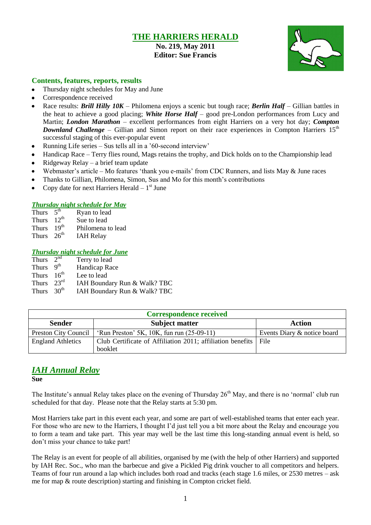# **THE HARRIERS HERALD**

**No. 219, May 2011 Editor: Sue Francis**



## **Contents, features, reports, results**

- Thursday night schedules for May and June
- Correspondence received
- Race results: *Brill Hilly 10K* Philomena enjoys a scenic but tough race; *Berlin Half* Gillian battles in the heat to achieve a good placing; *White Horse Half* – good pre-London performances from Lucy and Martin; *London Marathon* – excellent performances from eight Harriers on a very hot day; *Compton Downland Challenge* – Gillian and Simon report on their race experiences in Compton Harriers 15<sup>th</sup> successful staging of this ever-popular event
- Running Life series Sus tells all in a "60-second interview"
- Handicap Race Terry flies round, Mags retains the trophy, and Dick holds on to the Championship lead
- Ridgeway Relay a brief team update
- Webmaster's article Mo features 'thank you e-mails' from CDC Runners, and lists May & June races
- Thanks to Gillian, Philomena, Simon, Sus and Mo for this month"s contributions
- Copy date for next Harriers Herald  $-1<sup>st</sup>$  June

### *Thursday night schedule for May*

| Thurs $5^{\text{th}}$ |                  | Ryan to lead      |
|-----------------------|------------------|-------------------|
| Thurs $12^{th}$       |                  | Sue to lead       |
| Thurs                 | 19 <sup>th</sup> | Philomena to lead |
| Thurs $26th$          |                  | <b>IAH Relay</b>  |

### *Thursday night schedule for June*

| Thurs $2^{n\overline{d}}$ |                          | Terry to lead                |
|---------------------------|--------------------------|------------------------------|
| Thurs                     | $\mathbf{Q}^{\text{th}}$ | Handicap Race                |
| Thurs $16th$              |                          | Lee to lead                  |
| Thurs $23^{\text{rd}}$    |                          | IAH Boundary Run & Walk? TBC |
| Thurs $30th$              |                          | IAH Boundary Run & Walk? TBC |

| <b>Correspondence received</b> |                                                                 |                             |  |  |  |
|--------------------------------|-----------------------------------------------------------------|-----------------------------|--|--|--|
| <b>Sender</b>                  | <b>Subject matter</b>                                           | <b>Action</b>               |  |  |  |
| Preston City Council           | 'Run Preston' 5K, $10K$ , fun run $(25-09-11)$                  | Events Diary & notice board |  |  |  |
| <b>England Athletics</b>       | Club Certificate of Affiliation 2011; affiliation benefits File |                             |  |  |  |
|                                | booklet                                                         |                             |  |  |  |

# *IAH Annual Relay*

**Sue**

The Institute's annual Relay takes place on the evening of Thursday 26<sup>th</sup> May, and there is no 'normal' club run scheduled for that day. Please note that the Relay starts at 5:30 pm.

Most Harriers take part in this event each year, and some are part of well-established teams that enter each year. For those who are new to the Harriers, I thought I"d just tell you a bit more about the Relay and encourage you to form a team and take part. This year may well be the last time this long-standing annual event is held, so don"t miss your chance to take part!

The Relay is an event for people of all abilities, organised by me (with the help of other Harriers) and supported by IAH Rec. Soc., who man the barbecue and give a Pickled Pig drink voucher to all competitors and helpers. Teams of four run around a lap which includes both road and tracks (each stage 1.6 miles, or 2530 metres – ask me for map  $\&$  route description) starting and finishing in Compton cricket field.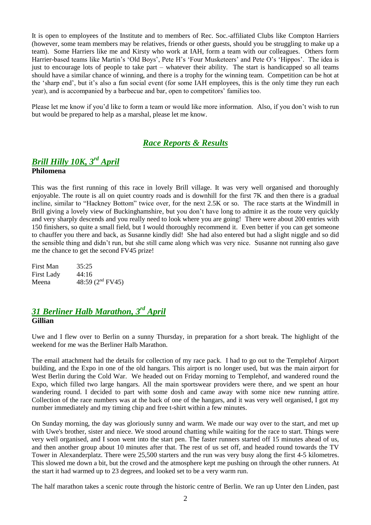It is open to employees of the Institute and to members of Rec. Soc.-affiliated Clubs like Compton Harriers (however, some team members may be relatives, friends or other guests, should you be struggling to make up a team). Some Harriers like me and Kirsty who work at IAH, form a team with our colleagues. Others form Harrier-based teams like Martin's 'Old Boys', Pete H's 'Four Musketeers' and Pete O's 'Hippos'. The idea is just to encourage lots of people to take part – whatever their ability. The start is handicapped so all teams should have a similar chance of winning, and there is a trophy for the winning team. Competition can be hot at the "sharp end", but it"s also a fun social event (for some IAH employees, this is the only time they run each year), and is accompanied by a barbecue and bar, open to competitors" families too.

Please let me know if you"d like to form a team or would like more information. Also, if you don"t wish to run but would be prepared to help as a marshal, please let me know.

## *Race Reports & Results*

# *Brill Hilly 10K, 3 rd April*

## **Philomena**

This was the first running of this race in lovely Brill village. It was very well organised and thoroughly enjoyable. The route is all on quiet country roads and is downhill for the first 7K and then there is a gradual incline, similar to "Hackney Bottom" twice over, for the next 2.5K or so. The race starts at the Windmill in Brill giving a lovely view of Buckinghamshire, but you don"t have long to admire it as the route very quickly and very sharply descends and you really need to look where you are going! There were about 200 entries with 150 finishers, so quite a small field, but I would thoroughly recommend it. Even better if you can get someone to chauffer you there and back, as Susanne kindly did! She had also entered but had a slight niggle and so did the sensible thing and didn"t run, but she still came along which was very nice. Susanne not running also gave me the chance to get the second FV45 prize!

| First Man  | 35:25              |
|------------|--------------------|
| First Lady | 44:16              |
| Meena      | 48:59 $(2nd FV45)$ |

## *31 Berliner Halb Marathon, 3rd April* **Gillian**

Uwe and I flew over to Berlin on a sunny Thursday, in preparation for a short break. The highlight of the weekend for me was the Berliner Halb Marathon.

The email attachment had the details for collection of my race pack. I had to go out to the Templehof Airport building, and the Expo in one of the old hangars. This airport is no longer used, but was the main airport for West Berlin during the Cold War. We headed out on Friday morning to Templehof, and wandered round the Expo, which filled two large hangars. All the main sportswear providers were there, and we spent an hour wandering round. I decided to part with some dosh and came away with some nice new running attire. Collection of the race numbers was at the back of one of the hangars, and it was very well organised, I got my number immediately and my timing chip and free t-shirt within a few minutes.

On Sunday morning, the day was gloriously sunny and warm. We made our way over to the start, and met up with Uwe's brother, sister and niece. We stood around chatting while waiting for the race to start. Things were very well organised, and I soon went into the start pen. The faster runners started off 15 minutes ahead of us, and then another group about 10 minutes after that. The rest of us set off, and headed round towards the TV Tower in Alexanderplatz. There were 25,500 starters and the run was very busy along the first 4-5 kilometres. This slowed me down a bit, but the crowd and the atmosphere kept me pushing on through the other runners. At the start it had warmed up to 23 degrees, and looked set to be a very warm run.

The half marathon takes a scenic route through the historic centre of Berlin. We ran up Unter den Linden, past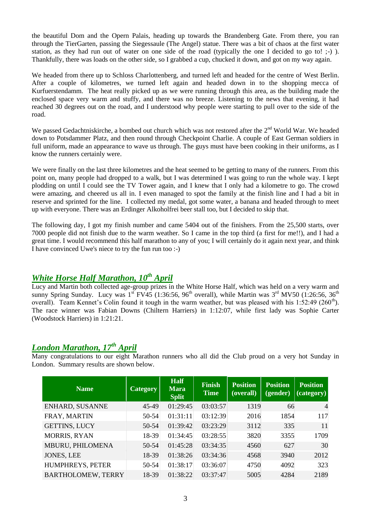the beautiful Dom and the Opern Palais, heading up towards the Brandenberg Gate. From there, you ran through the TierGarten, passing the Siegessaule (The Angel) statue. There was a bit of chaos at the first water station, as they had run out of water on one side of the road (typically the one I decided to go to! ;-) ). Thankfully, there was loads on the other side, so I grabbed a cup, chucked it down, and got on my way again.

We headed from there up to Schloss Charlottenberg, and turned left and headed for the centre of West Berlin. After a couple of kilometres, we turned left again and headed down in to the shopping mecca of Kurfuerstendamm. The heat really picked up as we were running through this area, as the building made the enclosed space very warm and stuffy, and there was no breeze. Listening to the news that evening, it had reached 30 degrees out on the road, and I understood why people were starting to pull over to the side of the road.

We passed Gedachtniskirche, a bombed out church which was not restored after the 2<sup>nd</sup> World War. We headed down to Potsdammer Platz, and then round through Checkpoint Charlie. A couple of East German soldiers in full uniform, made an appearance to wave us through. The guys must have been cooking in their uniforms, as I know the runners certainly were.

We were finally on the last three kilometres and the heat seemed to be getting to many of the runners. From this point on, many people had dropped to a walk, but I was determined I was going to run the whole way. I kept plodding on until I could see the TV Tower again, and I knew that I only had a kilometre to go. The crowd were amazing, and cheered us all in. I even managed to spot the family at the finish line and I had a bit in reserve and sprinted for the line. I collected my medal, got some water, a banana and headed through to meet up with everyone. There was an Erdinger Alkoholfrei beer stall too, but I decided to skip that.

The following day, I got my finish number and came 5404 out of the finishers. From the 25,500 starts, over 7000 people did not finish due to the warm weather. So I came in the top third (a first for me!!), and I had a great time. I would recommend this half marathon to any of you; I will certainly do it again next year, and think I have convinced Uwe's niece to try the fun run too :-)

# *White Horse Half Marathon, 10th April*

Lucy and Martin both collected age-group prizes in the White Horse Half, which was held on a very warm and sunny Spring Sunday. Lucy was  $1^{st}$  FV45 (1:36:56, 96<sup>th</sup> overall), while Martin was  $3^{rd}$  MV50 (1:26:56, 36<sup>th</sup>) overall). Team Kennet's Colin found it tough in the warm weather, but was pleased with his 1:52:49 (260<sup>th</sup>). The race winner was Fabian Downs (Chiltern Harriers) in 1:12:07, while first lady was Sophie Carter (Woodstock Harriers) in 1:21:21.

# *London Marathon, 17th April*

Many congratulations to our eight Marathon runners who all did the Club proud on a very hot Sunday in London. Summary results are shown below.

| <b>Name</b>               | <b>Category</b> | <b>Half</b><br><b>Mara</b><br><b>Split</b> | <b>Finish</b><br><b>Time</b> | <b>Position</b><br>(overall) | <b>Position</b><br>(gender) | <b>Position</b><br>(category) |
|---------------------------|-----------------|--------------------------------------------|------------------------------|------------------------------|-----------------------------|-------------------------------|
| <b>ENHARD, SUSANNE</b>    | 45-49           | 01:29:45                                   | 03:03:57                     | 1319                         | 66                          | $\overline{4}$                |
| FRAY, MARTIN              | 50-54           | 01:31:11                                   | 03:12:39                     | 2016                         | 1854                        | 117                           |
| <b>GETTINS, LUCY</b>      | 50-54           | 01:39:42                                   | 03:23:29                     | 3112                         | 335                         | 11                            |
| <b>MORRIS, RYAN</b>       | 18-39           | 01:34:45                                   | 03:28:55                     | 3820                         | 3355                        | 1709                          |
| MBURU, PHILOMENA          | 50-54           | 01:45:28                                   | 03:34:35                     | 4560                         | 627                         | 30                            |
| <b>JONES, LEE</b>         | 18-39           | 01:38:26                                   | 03:34:36                     | 4568                         | 3940                        | 2012                          |
| HUMPHREYS, PETER          | 50-54           | 01:38:17                                   | 03:36:07                     | 4750                         | 4092                        | 323                           |
| <b>BARTHOLOMEW, TERRY</b> | 18-39           | 01:38:22                                   | 03:37:47                     | 5005                         | 4284                        | 2189                          |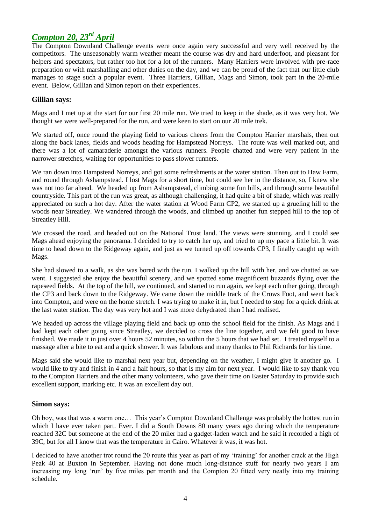# *Compton 20, 23rd April*

The Compton Downland Challenge events were once again very successful and very well received by the competitors. The unseasonably warm weather meant the course was dry and hard underfoot, and pleasant for helpers and spectators, but rather too hot for a lot of the runners. Many Harriers were involved with pre-race preparation or with marshalling and other duties on the day, and we can be proud of the fact that our little club manages to stage such a popular event. Three Harriers, Gillian, Mags and Simon, took part in the 20-mile event. Below, Gillian and Simon report on their experiences.

### **Gillian says:**

Mags and I met up at the start for our first 20 mile run. We tried to keep in the shade, as it was very hot. We thought we were well-prepared for the run, and were keen to start on our 20 mile trek.

We started off, once round the playing field to various cheers from the Compton Harrier marshals, then out along the back lanes, fields and woods heading for Hampstead Norreys. The route was well marked out, and there was a lot of camaraderie amongst the various runners. People chatted and were very patient in the narrower stretches, waiting for opportunities to pass slower runners.

We ran down into Hampstead Norreys, and got some refreshments at the water station. Then out to Haw Farm, and round through Ashampstead. I lost Mags for a short time, but could see her in the distance, so, I knew she was not too far ahead. We headed up from Ashampstead, climbing some fun hills, and through some beautiful countryside. This part of the run was great, as although challenging, it had quite a bit of shade, which was really appreciated on such a hot day. After the water station at Wood Farm CP2, we started up a grueling hill to the woods near Streatley. We wandered through the woods, and climbed up another fun stepped hill to the top of Streatley Hill.

We crossed the road, and headed out on the National Trust land. The views were stunning, and I could see Mags ahead enjoying the panorama. I decided to try to catch her up, and tried to up my pace a little bit. It was time to head down to the Ridgeway again, and just as we turned up off towards CP3, I finally caught up with Mags.

She had slowed to a walk, as she was bored with the run. I walked up the hill with her, and we chatted as we went. I suggested she enjoy the beautiful scenery, and we spotted some magnificent buzzards flying over the rapeseed fields. At the top of the hill, we continued, and started to run again, we kept each other going, through the CP3 and back down to the Ridgeway. We came down the middle track of the Crows Foot, and went back into Compton, and were on the home stretch. I was trying to make it in, but I needed to stop for a quick drink at the last water station. The day was very hot and I was more dehydrated than I had realised.

We headed up across the village playing field and back up onto the school field for the finish. As Mags and I had kept each other going since Streatley, we decided to cross the line together, and we felt good to have finished. We made it in just over 4 hours 52 minutes, so within the 5 hours that we had set. I treated myself to a massage after a bite to eat and a quick shower. It was fabulous and many thanks to Phil Richards for his time.

Mags said she would like to marshal next year but, depending on the weather, I might give it another go. I would like to try and finish in 4 and a half hours, so that is my aim for next year. I would like to say thank you to the Compton Harriers and the other many volunteers, who gave their time on Easter Saturday to provide such excellent support, marking etc. It was an excellent day out.

### **Simon says:**

Oh boy, was that was a warm one… This year"s Compton Downland Challenge was probably the hottest run in which I have ever taken part. Ever. I did a South Downs 80 many years ago during which the temperature reached 32C but someone at the end of the 20 miler had a gadget-laden watch and he said it recorded a high of 39C, but for all I know that was the temperature in Cairo. Whatever it was, it was hot.

I decided to have another trot round the 20 route this year as part of my "training" for another crack at the High Peak 40 at Buxton in September. Having not done much long-distance stuff for nearly two years I am increasing my long "run" by five miles per month and the Compton 20 fitted very neatly into my training schedule.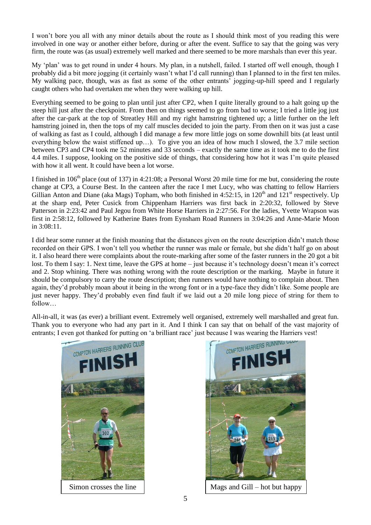I won"t bore you all with any minor details about the route as I should think most of you reading this were involved in one way or another either before, during or after the event. Suffice to say that the going was very firm, the route was (as usual) extremely well marked and there seemed to be more marshals than ever this year.

My "plan" was to get round in under 4 hours. My plan, in a nutshell, failed. I started off well enough, though I probably did a bit more jogging (it certainly wasn"t what I"d call running) than I planned to in the first ten miles. My walking pace, though, was as fast as some of the other entrants" jogging-up-hill speed and I regularly caught others who had overtaken me when they were walking up hill.

Everything seemed to be going to plan until just after CP2, when I quite literally ground to a halt going up the steep hill just after the checkpoint. From then on things seemed to go from bad to worse; I tried a little jog just after the car-park at the top of Streatley Hill and my right hamstring tightened up; a little further on the left hamstring joined in, then the tops of my calf muscles decided to join the party. From then on it was just a case of walking as fast as I could, although I did manage a few more little jogs on some downhill bits (at least until everything below the waist stiffened up…). To give you an idea of how much I slowed, the 3.7 mile section between CP3 and CP4 took me 52 minutes and 33 seconds – exactly the same time as it took me to do the first 4.4 miles. I suppose, looking on the positive side of things, that considering how hot it was I"m quite pleased with how it all went. It could have been a lot worse.

I finished in  $106<sup>th</sup>$  place (out of 137) in 4:21:08; a Personal Worst 20 mile time for me but, considering the route change at CP3, a Course Best. In the canteen after the race I met Lucy, who was chatting to fellow Harriers Gillian Anton and Diane (aka Mags) Topham, who both finished in  $4:52:15$ , in  $120<sup>th</sup>$  and  $121<sup>st</sup>$  respectively. Up at the sharp end, Peter Cusick from Chippenham Harriers was first back in 2:20:32, followed by Steve Patterson in 2:23:42 and Paul Jegou from White Horse Harriers in 2:27:56. For the ladies, Yvette Wrapson was first in 2:58:12, followed by Katherine Bates from Eynsham Road Runners in 3:04:26 and Anne-Marie Moon in 3:08:11.

I did hear some runner at the finish moaning that the distances given on the route description didn"t match those recorded on their GPS. I won"t tell you whether the runner was male or female, but she didn"t half go on about it. I also heard there were complaints about the route-marking after some of the faster runners in the 20 got a bit lost. To them I say: 1. Next time, leave the GPS at home – just because it's technology doesn't mean it's correct and 2. Stop whining. There was nothing wrong with the route description or the marking. Maybe in future it should be compulsory to carry the route description; then runners would have nothing to complain about. Then again, they"d probably moan about it being in the wrong font or in a type-face they didn"t like. Some people are just never happy. They'd probably even find fault if we laid out a 20 mile long piece of string for them to follow…

All-in-all, it was (as ever) a brilliant event. Extremely well organised, extremely well marshalled and great fun. Thank you to everyone who had any part in it. And I think I can say that on behalf of the vast majority of entrants; I even got thanked for putting on 'a brilliant race' just because I was wearing the Harriers vest!





Simon crosses the line  $\parallel$  Mags and Gill – hot but happy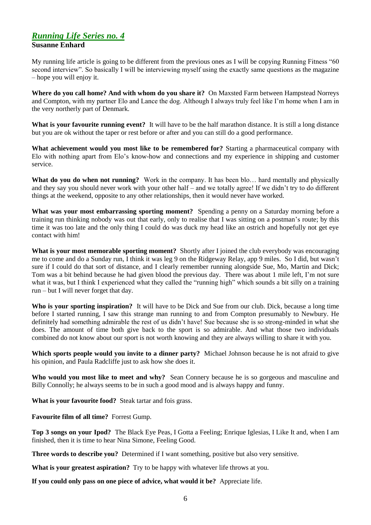## *Running Life Series no. 4* **Susanne Enhard**

My running life article is going to be different from the previous ones as I will be copying Running Fitness "60 second interview". So basically I will be interviewing myself using the exactly same questions as the magazine – hope you will enjoy it.

**Where do you call home? And with whom do you share it?** On Maxsted Farm between Hampstead Norreys and Compton, with my partner Elo and Lance the dog. Although I always truly feel like I"m home when I am in the very northerly part of Denmark.

**What is your favourite running event?** It will have to be the half marathon distance. It is still a long distance but you are ok without the taper or rest before or after and you can still do a good performance.

**What achievement would you most like to be remembered for?** Starting a pharmaceutical company with Elo with nothing apart from Elo"s know-how and connections and my experience in shipping and customer service.

**What do you do when not running?** Work in the company. It has been blo… hard mentally and physically and they say you should never work with your other half – and we totally agree! If we didn"t try to do different things at the weekend, opposite to any other relationships, then it would never have worked.

**What was your most embarrassing sporting moment?** Spending a penny on a Saturday morning before a training run thinking nobody was out that early, only to realise that I was sitting on a postman"s route; by this time it was too late and the only thing I could do was duck my head like an ostrich and hopefully not get eye contact with him!

**What is your most memorable sporting moment?** Shortly after I joined the club everybody was encouraging me to come and do a Sunday run, I think it was leg 9 on the Ridgeway Relay, app 9 miles. So I did, but wasn"t sure if I could do that sort of distance, and I clearly remember running alongside Sue, Mo, Martin and Dick; Tom was a bit behind because he had given blood the previous day. There was about 1 mile left, I"m not sure what it was, but I think I experienced what they called the "running high" which sounds a bit silly on a training run – but I will never forget that day.

**Who is your sporting inspiration?** It will have to be Dick and Sue from our club. Dick, because a long time before I started running, I saw this strange man running to and from Compton presumably to Newbury. He definitely had something admirable the rest of us didn't have! Sue because she is so strong-minded in what she does. The amount of time both give back to the sport is so admirable. And what those two individuals combined do not know about our sport is not worth knowing and they are always willing to share it with you.

**Which sports people would you invite to a dinner party?** Michael Johnson because he is not afraid to give his opinion, and Paula Radcliffe just to ask how she does it.

**Who would you most like to meet and why?** Sean Connery because he is so gorgeous and masculine and Billy Connolly; he always seems to be in such a good mood and is always happy and funny.

**What is your favourite food?** Steak tartar and fois grass.

**Favourite film of all time?** Forrest Gump.

**Top 3 songs on your Ipod?** The Black Eye Peas, I Gotta a Feeling; Enrique Iglesias, I Like It and, when I am finished, then it is time to hear Nina Simone, Feeling Good.

**Three words to describe you?** Determined if I want something, positive but also very sensitive.

**What is your greatest aspiration?** Try to be happy with whatever life throws at you.

**If you could only pass on one piece of advice, what would it be?** Appreciate life.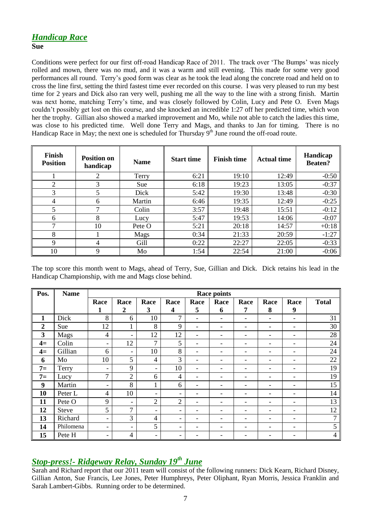#### **Sue**

Conditions were perfect for our first off-road Handicap Race of 2011. The track over 'The Bumps' was nicely rolled and mown, there was no mud, and it was a warm and still evening. This made for some very good performances all round. Terry"s good form was clear as he took the lead along the concrete road and held on to cross the line first, setting the third fastest time ever recorded on this course. I was very pleased to run my best time for 2 years and Dick also ran very well, pushing me all the way to the line with a strong finish. Martin was next home, matching Terry's time, and was closely followed by Colin, Lucy and Pete O. Even Mags couldn"t possibly get lost on this course, and she knocked an incredible 1:27 off her predicted time, which won her the trophy. Gillian also showed a marked improvement and Mo, while not able to catch the ladies this time, was close to his predicted time. Well done Terry and Mags, and thanks to Jan for timing. There is no Handicap Race in May; the next one is scheduled for Thursday  $9<sup>th</sup>$  June round the off-road route.

| Finish<br><b>Position</b> | <b>Position on</b><br>handicap | <b>Name</b> | <b>Start time</b> | <b>Finish time</b> | <b>Actual time</b> | Handicap<br><b>Beaten?</b> |
|---------------------------|--------------------------------|-------------|-------------------|--------------------|--------------------|----------------------------|
|                           | 2                              | Terry       | 6:21              | 19:10              | 12:49              | $-0:50$                    |
| 2                         | 3                              | Sue         | 6:18              | 19:23              | 13:05              | $-0:37$                    |
| 3                         | 5                              | Dick        | 5:42              | 19:30              | 13:48              | $-0:30$                    |
| 4                         | 6                              | Martin      | 6:46              | 19:35              | 12:49              | $-0:25$                    |
| 5                         | ⇁                              | Colin       | 3:57              | 19:48              | 15:51              | $-0:12$                    |
| 6                         | 8                              | Lucy        | 5:47              | 19:53              | 14:06              | $-0:07$                    |
| 7                         | 10                             | Pete O      | 5:21              | 20:18              | 14:57              | $+0:18$                    |
| 8                         |                                | Mags        | 0:34              | 21:33              | 20:59              | $-1:27$                    |
| $\mathbf Q$               | 4                              | Gill        | 0:22              | 22:27              | 22:05              | $-0:33$                    |
| 10                        | 9                              | Mo          | 1:54              | 22:54              | 21:00              | $-0:06$                    |

The top score this month went to Mags, ahead of Terry, Sue, Gillian and Dick. Dick retains his lead in the Handicap Championship, with me and Mags close behind.

| Pos.           | <b>Name</b>  | <b>Race points</b>       |                          |                          |                |                              |                          |      |      |                          |              |
|----------------|--------------|--------------------------|--------------------------|--------------------------|----------------|------------------------------|--------------------------|------|------|--------------------------|--------------|
|                |              | Race                     | Race                     | Race                     | Race           | Race                         | Race                     | Race | Race | Race                     | <b>Total</b> |
|                |              | 1                        | 2                        | 3                        | 4              | 5                            | 6                        | 7    | 8    | 9                        |              |
| $\mathbf{1}$   | Dick         | 8                        | 6                        | 10                       | $\mathcal{I}$  | $\overline{\phantom{0}}$     | $\overline{\phantom{0}}$ | -    | ۰    | $\overline{\phantom{a}}$ | 31           |
| $\overline{2}$ | Sue          | 12                       | ı.                       | 8                        | 9              | $\qquad \qquad \blacksquare$ |                          |      | ۰    | -                        | 30           |
| 3              | <b>Mags</b>  | $\overline{4}$           | $\overline{\phantom{a}}$ | 12                       | 12             | $\overline{\phantom{0}}$     | ۰                        | -    | ۰    | -                        | 28           |
| $4=$           | Colin        | $\overline{\phantom{a}}$ | 12                       | $\overline{7}$           | 5              | $\qquad \qquad \blacksquare$ |                          |      | ۰    | $\overline{\phantom{a}}$ | 24           |
| $4=$           | Gillian      | 6                        | $\overline{\phantom{a}}$ | 10                       | 8              | -                            |                          |      | ۰    | -                        | 24           |
| 6              | Mo           | 10                       | 5                        | $\overline{4}$           | $\overline{3}$ | -                            |                          |      | ۰    | -                        | 22           |
| $7=$           | Terry        | $\overline{\phantom{a}}$ | 9                        | $\overline{\phantom{a}}$ | 10             | $\overline{\phantom{0}}$     |                          |      | ۰    | $\qquad \qquad -$        | 19           |
| $7=$           | Lucy         | $\overline{7}$           | $\overline{2}$           | 6                        | $\overline{4}$ | -                            |                          |      | ۰    | $\overline{\phantom{a}}$ | 19           |
| 9              | Martin       | $\overline{\phantom{a}}$ | 8                        | T.                       | 6              | -                            | $\overline{\phantom{0}}$ | -    | ۰    | $\overline{\phantom{a}}$ | 15           |
| 10             | Peter L      | $\overline{4}$           | 10                       | $\overline{\phantom{a}}$ | -              |                              |                          |      | ۰    | $\overline{\phantom{0}}$ | 14           |
| 11             | Pete O       | 9                        | $\overline{\phantom{a}}$ | $\overline{2}$           | $\overline{2}$ | -                            |                          |      | ۰    | -                        | 13           |
| 12             | <b>Steve</b> | 5                        | 7                        | $\overline{\phantom{a}}$ | -              |                              |                          |      | ۰    | -                        | 12           |
| 13             | Richard      | $\overline{\phantom{a}}$ | 3                        | $\overline{4}$           | -              | -                            |                          |      | ۰    | -                        | $\mathbf{r}$ |
| 14             | Philomena    | $\overline{\phantom{a}}$ | -                        | 5                        | -              |                              |                          |      | ۰    | $\overline{\phantom{a}}$ | 5            |
| 15             | Pete H       | $\overline{\phantom{a}}$ | 4                        | $\overline{\phantom{a}}$ | -              |                              |                          |      |      | $\overline{\phantom{0}}$ | 4            |

# *Stop-press!- Ridgeway Relay, Sunday 19th June*

Sarah and Richard report that our 2011 team will consist of the following runners: Dick Kearn, Richard Disney, Gillian Anton, Sue Francis, Lee Jones, Peter Humphreys, Peter Oliphant, Ryan Morris, Jessica Franklin and Sarah Lambert-Gibbs. Running order to be determined.